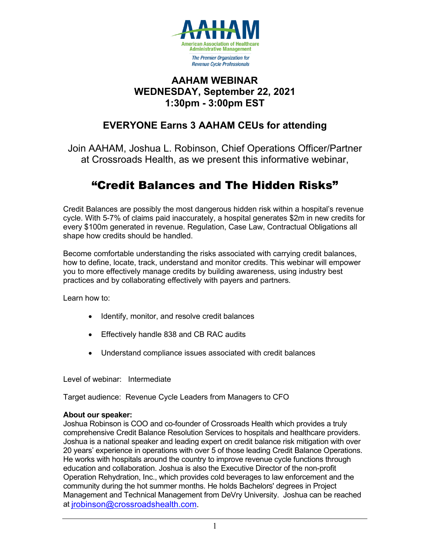

### **AAHAM WEBINAR WEDNESDAY, September 22, 2021 1:30pm - 3:00pm EST**

## **EVERYONE Earns 3 AAHAM CEUs for attending**

Join AAHAM, Joshua L. Robinson, Chief Operations Officer/Partner at Crossroads Health, as we present this informative webinar,

# "Credit Balances and The Hidden Risks"

Credit Balances are possibly the most dangerous hidden risk within a hospital's revenue cycle. With 5-7% of claims paid inaccurately, a hospital generates \$2m in new credits for every \$100m generated in revenue. Regulation, Case Law, Contractual Obligations all shape how credits should be handled.

Become comfortable understanding the risks associated with carrying credit balances, how to define, locate, track, understand and monitor credits. This webinar will empower you to more effectively manage credits by building awareness, using industry best practices and by collaborating effectively with payers and partners.

Learn how to:

- Identify, monitor, and resolve credit balances
- Effectively handle 838 and CB RAC audits
- Understand compliance issues associated with credit balances

Level of webinar: Intermediate

Target audience: Revenue Cycle Leaders from Managers to CFO

#### **About our speaker:**

Joshua Robinson is COO and co-founder of Crossroads Health which provides a truly comprehensive Credit Balance Resolution Services to hospitals and healthcare providers. Joshua is a national speaker and leading expert on credit balance risk mitigation with over 20 years' experience in operations with over 5 of those leading Credit Balance Operations. He works with hospitals around the country to improve revenue cycle functions through education and collaboration. Joshua is also the Executive Director of the non-profit Operation Rehydration, Inc., which provides cold beverages to law enforcement and the community during the hot summer months. He holds Bachelors' degrees in Project Management and Technical Management from DeVry University. Joshua can be reached at [jrobinson@crossroadshealth.com.](mailto:jrobinson@crossroadshealth.com)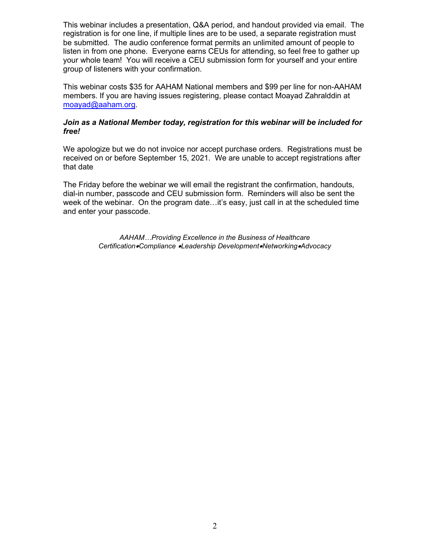This webinar includes a presentation, Q&A period, and handout provided via email. The registration is for one line, if multiple lines are to be used, a separate registration must be submitted. The audio conference format permits an unlimited amount of people to listen in from one phone. Everyone earns CEUs for attending, so feel free to gather up your whole team! You will receive a CEU submission form for yourself and your entire group of listeners with your confirmation.

This webinar costs \$35 for AAHAM National members and \$99 per line for non-AAHAM members. If you are having issues registering, please contact Moayad Zahralddin at [moayad@aaham.org.](mailto:moayad@aaham.org)

#### *Join as a National Member today, registration for this webinar will be included for free!*

We apologize but we do not invoice nor accept purchase orders. Registrations must be received on or before September 15, 2021. We are unable to accept registrations after that date

The Friday before the webinar we will email the registrant the confirmation, handouts, dial-in number, passcode and CEU submission form. Reminders will also be sent the week of the webinar. On the program date…it's easy, just call in at the scheduled time and enter your passcode.

> *AAHAM…Providing Excellence in the Business of Healthcare Certification*•*Compliance* •*Leadership Development*•*Networking*•*Advocacy*